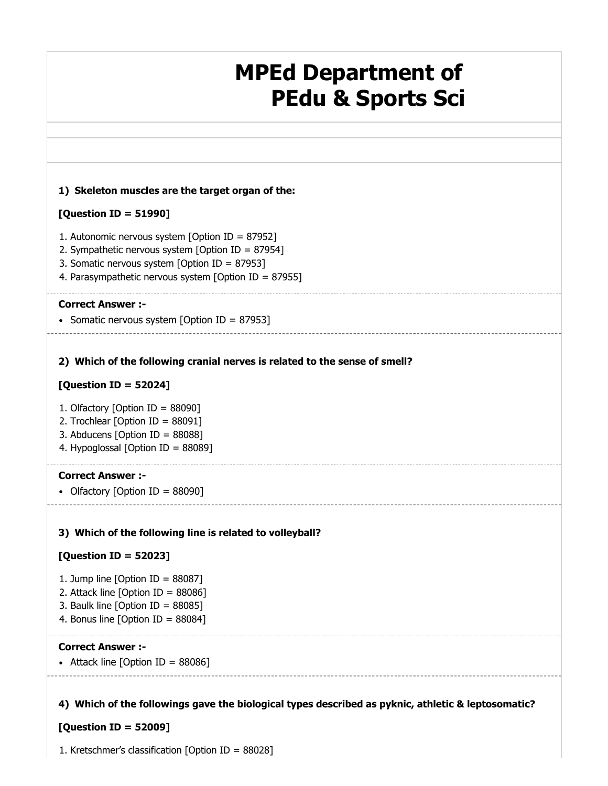# **MPEd Department of PEdu & Sports Sci**

### **1) Skeleton muscles are the target organ of the:**

### **[Question ID = 51990]**

- 1. Autonomic nervous system [Option ID = 87952]
- 2. Sympathetic nervous system [Option ID = 87954]
- 3. Somatic nervous system [Option ID = 87953]
- 4. Parasympathetic nervous system [Option ID = 87955]

### **Correct Answer :-**

• Somatic nervous system [Option ID = 87953]

### **2) Which of the following cranial nerves is related to the sense of smell?**

### **[Question ID = 52024]**

- 1. Olfactory [Option ID = 88090]
- 2. Trochlear [Option ID = 88091]
- 3. Abducens [Option ID = 88088]
- 4. Hypoglossal [Option ID = 88089]

### **Correct Answer :-**

• Olfactory [Option ID = 88090]

### **3) Which of the following line is related to volleyball?**

### **[Question ID = 52023]**

- 1. Jump line  $[Option ID = 88087]$
- 2. Attack line [Option ID = 88086]
- 3. Baulk line [Option ID = 88085]
- 4. Bonus line [Option ID = 88084]

### **Correct Answer :-**

• Attack line  $[Option ID = 88086]$ 

### **4) Which of the followings gave the biological types described as pyknic, athletic & leptosomatic?**

### **[Question ID = 52009]**

1. Kretschmer's classification [Option ID = 88028]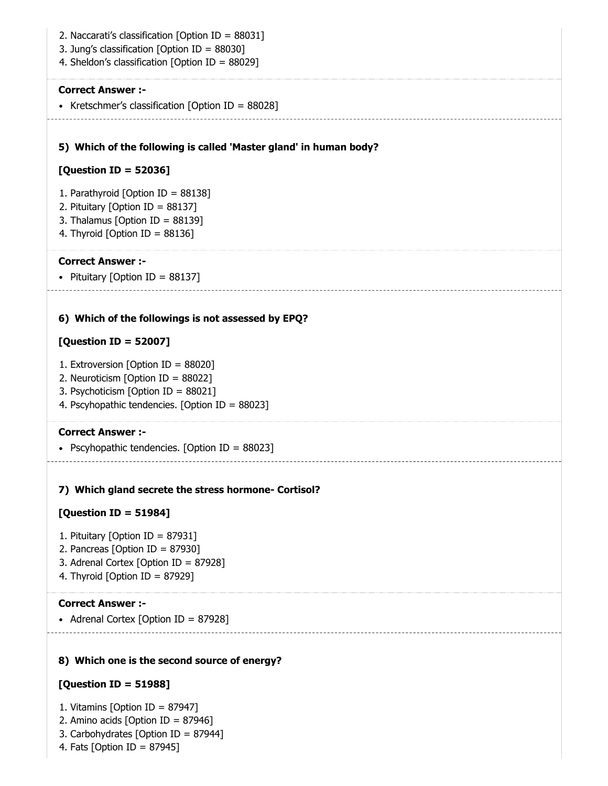**5) Which of the following is called 'Master gland' in human body? 6) Which of the followings is not assessed by EPQ? 7) Which gland secrete the stress hormone- Cortisol? 8) Which one is the second source of energy?** 2. Naccarati's classification [Option ID = 88031] 3. Jung's classification [Option ID = 88030] 4. Sheldon's classification [Option ID = 88029] **Correct Answer :-** • Kretschmer's classification [Option ID =  $88028$ ] **[Question ID = 52036]** 1. Parathyroid [Option ID = 88138] 2. Pituitary [Option ID = 88137] 3. Thalamus [Option ID = 88139] 4. Thyroid [Option ID = 88136] **Correct Answer :-** • Pituitary [Option ID =  $88137$ ] **[Question ID = 52007]** 1. Extroversion [Option ID = 88020] 2. Neuroticism [Option ID = 88022] 3. Psychoticism [Option ID = 88021] 4. Pscyhopathic tendencies. [Option ID = 88023] **Correct Answer :-** • Pscyhopathic tendencies. [Option ID =  $88023$ ] **[Question ID = 51984]** 1. Pituitary [Option ID = 87931] 2. Pancreas [Option ID = 87930] 3. Adrenal Cortex [Option ID = 87928] 4. Thyroid [Option ID = 87929] **Correct Answer :-** • Adrenal Cortex  $[Option ID = 87928]$ **[Question ID = 51988]**

- 1. Vitamins [Option ID = 87947]
- 2. Amino acids [Option ID = 87946]
- 3. Carbohydrates [Option ID = 87944]
- 4. Fats [Option ID = 87945]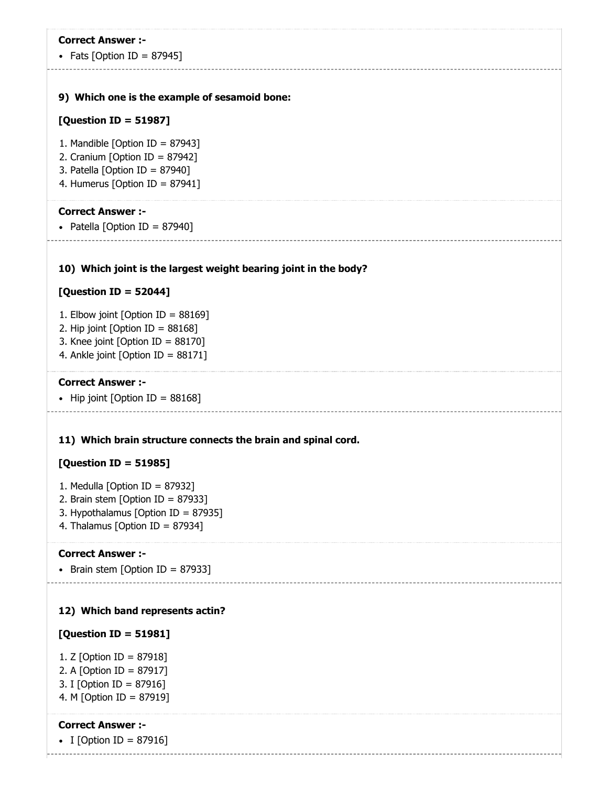## **9) Which one is the example of sesamoid bone:** • Fats  $[Option ID = 87945]$ **[Question ID = 51987]** 1. Mandible [Option ID =  $87943$ ] 2. Cranium [Option ID = 87942] 3. Patella [Option ID = 87940] 4. Humerus [Option ID = 87941] **Correct Answer :-**

• Patella [Option ID = 87940]

### **10) Which joint is the largest weight bearing joint in the body?**

### **[Question ID = 52044]**

- 1. Elbow joint [Option ID = 88169]
- 2. Hip joint  $[Option ID = 88168]$
- 3. Knee joint [Option ID = 88170]
- 4. Ankle joint [Option ID = 88171]

#### **Correct Answer :-**

• Hip joint [Option ID =  $88168$ ]

### **11) Which brain structure connects the brain and spinal cord.**

### **[Question ID = 51985]**

- 1. Medulla [Option ID = 87932]
- 2. Brain stem [Option ID = 87933]
- 3. Hypothalamus [Option ID = 87935]
- 4. Thalamus [Option ID = 87934]

### **Correct Answer :-**

Brain stem [Option ID = 87933]

### **12) Which band represents actin?**

### **[Question ID = 51981]**

- 1. Z [Option ID = 87918]
- 2. A [Option ID = 87917]
- 3. I [Option ID = 87916] 4. M [Option ID = 87919]

### **Correct Answer :-**

• I [Option ID = 87916]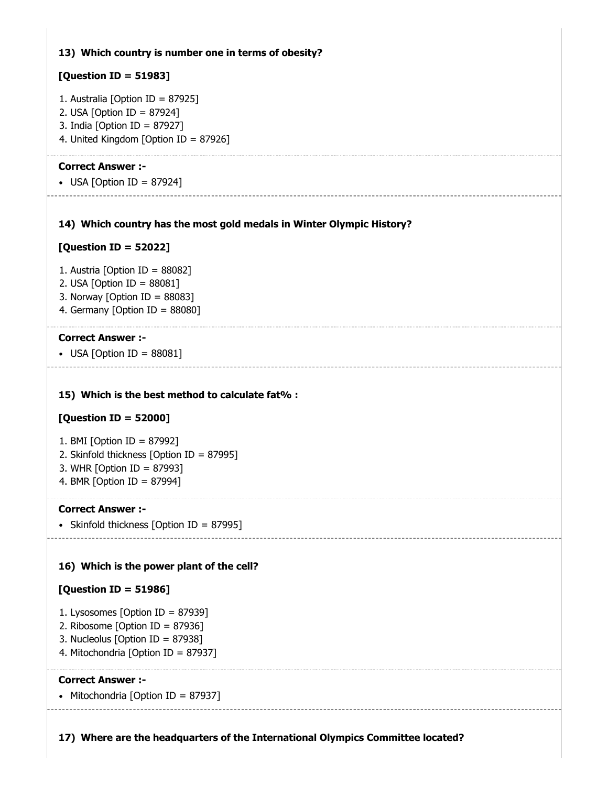### **13) Which country is number one in terms of obesity?**

### **[Question ID = 51983]**

- 1. Australia [Option ID = 87925]
- 2. USA [Option ID = 87924]
- 3. India [Option ID = 87927]
- 4. United Kingdom [Option ID = 87926]

### **Correct Answer :-**

 $\bullet$  USA [Option ID = 87924]

### **14) Which country has the most gold medals in Winter Olympic History?**

### **[Question ID = 52022]**

- 1. Austria [Option ID = 88082]
- 2. USA [Option ID = 88081]
- 3. Norway [Option ID =  $88083$ ]
- 4. Germany [Option ID = 88080]

### **Correct Answer :-**

• USA [Option ID =  $88081$ ]

### **15) Which is the best method to calculate fat% :**

### **[Question ID = 52000]**

- 1. BMI [Option ID = 87992]
- 2. Skinfold thickness [Option ID = 87995]
- 3. WHR [Option ID = 87993]
- 4. BMR [Option ID = 87994]

### **Correct Answer :-**

• Skinfold thickness [Option ID = 87995]

### **16) Which is the power plant of the cell?**

### **[Question ID = 51986]**

- 1. Lysosomes [Option ID = 87939]
- 2. Ribosome [Option ID = 87936]
- 3. Nucleolus [Option ID = 87938]
- 4. Mitochondria [Option ID = 87937]

### **Correct Answer :-**

• Mitochondria [Option ID = 87937]

**17) Where are the headquarters of the International Olympics Committee located?**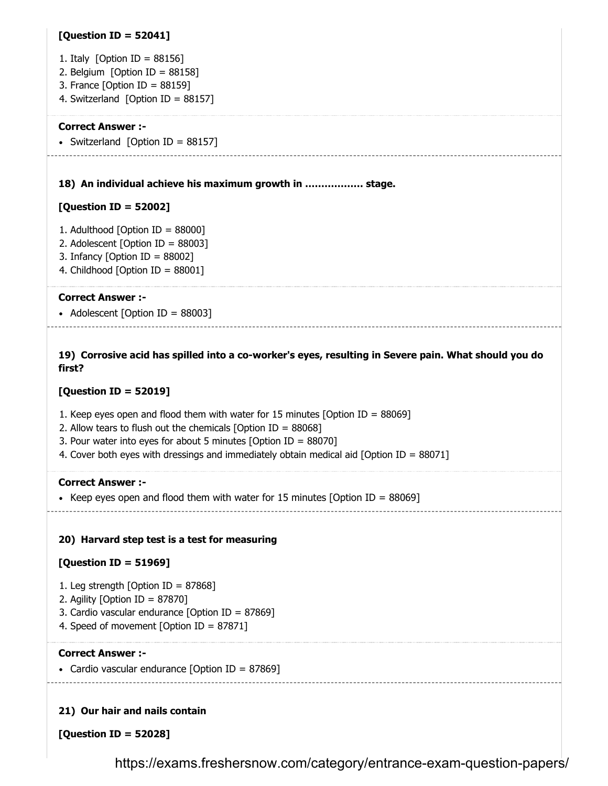### **[Question ID = 52041]**

- 1. Italy [Option ID = 88156]
- 2. Belgium [Option ID = 88158]
- 3. France [Option ID = 88159]
- 4. Switzerland [Option ID = 88157]

#### **Correct Answer :-**

• Switzerland [Option ID =  $88157$ ]

#### **18) An individual achieve his maximum growth in ……………… stage.**

### **[Question ID = 52002]**

- 1. Adulthood [Option ID = 88000]
- 2. Adolescent [Option ID = 88003]
- 3. Infancy [Option ID = 88002]
- 4. Childhood [Option ID = 88001]

### **Correct Answer :-**

• Adolescent  $[Option ID = 88003]$ 

### **19) Corrosive acid has spilled into a co-worker's eyes, resulting in Severe pain. What should you do first?**

### **[Question ID = 52019]**

- 1. Keep eyes open and flood them with water for 15 minutes [Option ID = 88069]
- 2. Allow tears to flush out the chemicals [Option ID =  $88068$ ]
- 3. Pour water into eyes for about 5 minutes [Option ID = 88070]
- 4. Cover both eyes with dressings and immediately obtain medical aid [Option ID = 88071]

### **Correct Answer :-**

- Keep eyes open and flood them with water for 15 minutes [Option ID =  $88069$ ]
	-

### **20) Harvard step test is a test for measuring**

### **[Question ID = 51969]**

- 1. Leg strength [Option ID = 87868]
- 2. Agility [Option ID = 87870]
- 3. Cardio vascular endurance [Option ID = 87869]
- 4. Speed of movement [Option ID = 87871]

### **Correct Answer :-**

• Cardio vascular endurance [Option ID = 87869]

### **21) Our hair and nails contain**

**[Question ID = 52028]**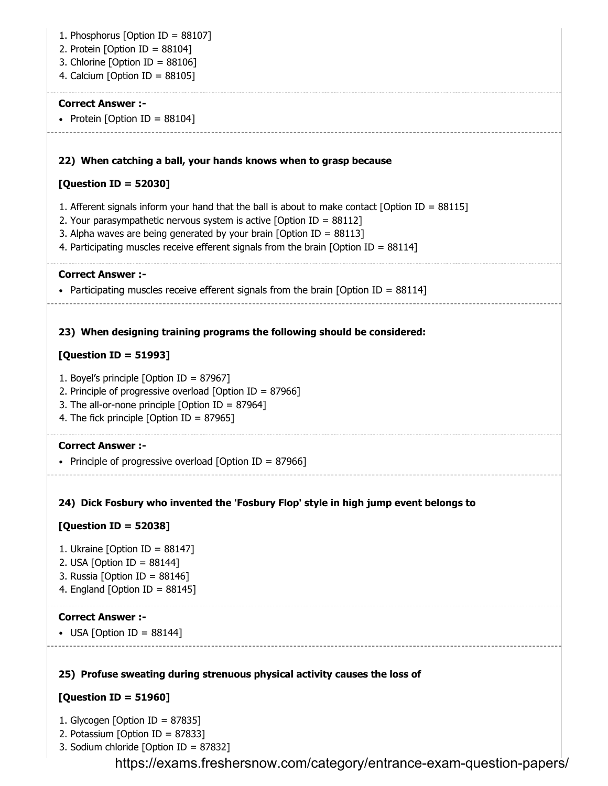| 1. Phosphorus [Option ID = 88107]<br>2. Protein [Option ID = $88104$ ]<br>3. Chlorine [Option ID = $88106$ ]<br>4. Calcium [Option ID = $88105$ ]                                                                                                                                                                                                   |
|-----------------------------------------------------------------------------------------------------------------------------------------------------------------------------------------------------------------------------------------------------------------------------------------------------------------------------------------------------|
| <b>Correct Answer :-</b><br>• Protein [Option ID = $88104$ ]                                                                                                                                                                                                                                                                                        |
| 22) When catching a ball, your hands knows when to grasp because                                                                                                                                                                                                                                                                                    |
| [Question ID = 52030]                                                                                                                                                                                                                                                                                                                               |
| 1. Afferent signals inform your hand that the ball is about to make contact [Option ID = $88115$ ]<br>2. Your parasympathetic nervous system is active [Option ID = $88112$ ]<br>3. Alpha waves are being generated by your brain [Option ID = $88113$ ]<br>4. Participating muscles receive efferent signals from the brain [Option ID = $88114$ ] |
|                                                                                                                                                                                                                                                                                                                                                     |
| <b>Correct Answer :-</b><br>• Participating muscles receive efferent signals from the brain [Option ID = $88114$ ]                                                                                                                                                                                                                                  |
| 23) When designing training programs the following should be considered:                                                                                                                                                                                                                                                                            |
| [Question ID = 51993]                                                                                                                                                                                                                                                                                                                               |
| 1. Boyel's principle [Option ID = 87967]<br>2. Principle of progressive overload [Option ID = $87966$ ]<br>3. The all-or-none principle [Option ID = $87964$ ]<br>4. The fick principle [Option ID = 87965]                                                                                                                                         |
| <b>Correct Answer :-</b>                                                                                                                                                                                                                                                                                                                            |
| • Principle of progressive overload [Option ID = 87966]                                                                                                                                                                                                                                                                                             |
| 24) Dick Fosbury who invented the 'Fosbury Flop' style in high jump event belongs to                                                                                                                                                                                                                                                                |
| [Question ID = 52038]                                                                                                                                                                                                                                                                                                                               |
| 1. Ukraine [Option ID = $88147$ ]<br>2. USA [Option ID = $88144$ ]<br>3. Russia [Option ID = $88146$ ]<br>4. England [Option ID = 88145]                                                                                                                                                                                                            |
| <b>Correct Answer :-</b><br>• USA [Option ID = $88144$ ]                                                                                                                                                                                                                                                                                            |
|                                                                                                                                                                                                                                                                                                                                                     |
| 25) Profuse sweating during strenuous physical activity causes the loss of                                                                                                                                                                                                                                                                          |
| [Question ID = 51960]                                                                                                                                                                                                                                                                                                                               |
| 1. Glycogen [Option ID = $87835$ ]<br>2. Potassium [Option ID = $87833$ ]<br>3. Sodium chloride [Option ID = 87832]                                                                                                                                                                                                                                 |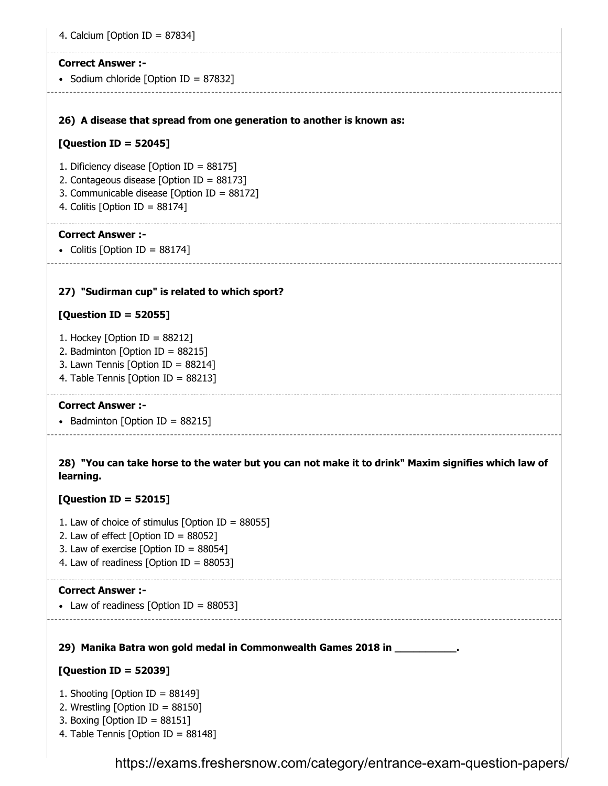4. Calcium [Option ID =  $87834$ ]

#### **Correct Answer :-**

• Sodium chloride [Option ID = 87832]

**26) A disease that spread from one generation to another is known as:**

### **[Question ID = 52045]**

- 1. Dificiency disease [Option ID = 88175]
- 2. Contageous disease [Option ID = 88173]
- 3. Communicable disease [Option ID = 88172]
- 4. Colitis [Option ID = 88174]

#### **Correct Answer :-**

• Colitis [Option ID =  $88174$ ]

### **27) "Sudirman cup" is related to which sport?**

### **[Question ID = 52055]**

- 1. Hockey [Option ID = 88212]
- 2. Badminton [Option ID = 88215]
- 3. Lawn Tennis [Option ID = 88214]
- 4. Table Tennis [Option ID = 88213]

### **Correct Answer :-**

• Badminton [Option ID =  $88215$ ]

**28) "You can take horse to the water but you can not make it to drink" Maxim signifies which law of learning.**

### **[Question ID = 52015]**

- 1. Law of choice of stimulus [Option ID = 88055]
- 2. Law of effect  $[Option ID = 88052]$
- 3. Law of exercise [Option ID = 88054]
- 4. Law of readiness [Option ID =  $88053$ ]

#### **Correct Answer :-**

• Law of readiness [Option ID =  $88053$ ]

### **29) Manika Batra won gold medal in Commonwealth Games 2018 in \_\_\_\_\_\_\_\_\_\_.**

### **[Question ID = 52039]**

- 1. Shooting [Option ID = 88149]
- 2. Wrestling [Option ID = 88150]
- 3. Boxing [Option ID = 88151]
- 4. Table Tennis [Option ID = 88148]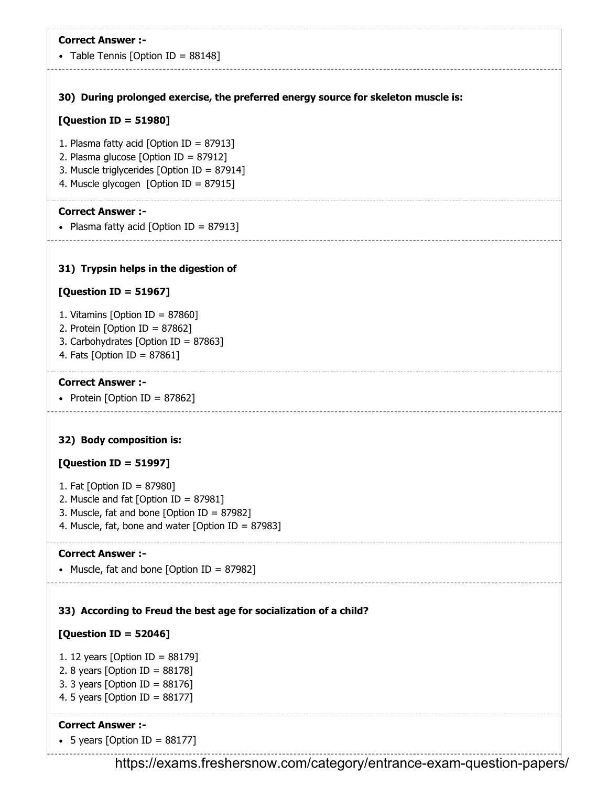• Table Tennis [Option ID =  $88148$ ]

**30) During prolonged exercise, the preferred energy source for skeleton muscle is:**

### **[Question ID = 51980]**

- 1. Plasma fatty acid [Option ID = 87913]
- 2. Plasma glucose [Option ID = 87912]
- 3. Muscle triglycerides [Option ID = 87914]
- 4. Muscle glycogen [Option ID = 87915]

### **Correct Answer :-**

• Plasma fatty acid  $[Option ID = 87913]$ 

### **31) Trypsin helps in the digestion of**

### **[Question ID = 51967]**

- 1. Vitamins [Option ID = 87860]
- 2. Protein [Option ID =  $87862$ ]
- 3. Carbohydrates [Option ID = 87863]
- 4. Fats [Option ID = 87861]

### **Correct Answer :-**

• Protein [Option ID = 87862]

### **32) Body composition is:**

### **[Question ID = 51997]**

- 1. Fat [Option ID = 87980]
- 2. Muscle and fat [Option ID = 87981]
- 3. Muscle, fat and bone [Option ID = 87982]
- 4. Muscle, fat, bone and water [Option ID = 87983]

### **Correct Answer :-**

```
• Muscle, fat and bone [Option ID = 87982]
```
### **33) According to Freud the best age for socialization of a child?**

### **[Question ID = 52046]**

- 1. 12 years [Option ID = 88179]
- 2. 8 years [Option ID = 88178]
- 3. 3 years [Option ID = 88176]
- 4. 5 years [Option ID = 88177]

### **Correct Answer :-**

• 5 years [Option ID =  $88177$ ]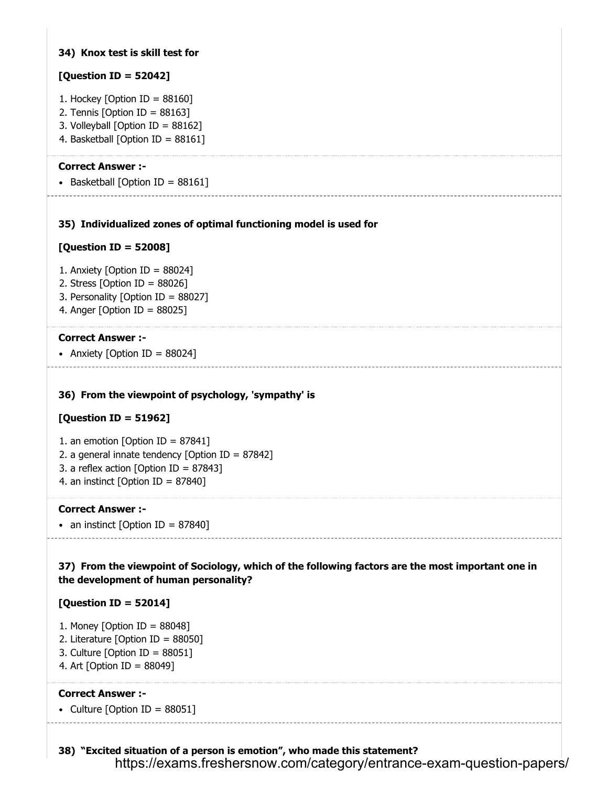### **34) Knox test is skill test for**

### **[Question ID = 52042]**

- 1. Hockey [Option ID =  $88160$ ]
- 2. Tennis [Option ID =  $88163$ ]
- 3. Volleyball [Option ID = 88162]
- 4. Basketball [Option ID = 88161]

### **Correct Answer :-**

• Basketball [Option ID =  $88161$ ]

### **35) Individualized zones of optimal functioning model is used for**

### **[Question ID = 52008]**

- 1. Anxiety [Option ID = 88024]
- 2. Stress [Option ID = 88026]
- 3. Personality [Option ID = 88027]
- 4. Anger [Option ID = 88025]

### **Correct Answer :-**

• Anxiety [Option ID =  $88024$ ]

### **36) From the viewpoint of psychology, 'sympathy' is**

### **[Question ID = 51962]**

- 1. an emotion [Option ID =  $87841$ ]
- 2. a general innate tendency [Option ID = 87842]
- 3. a reflex action [Option ID = 87843]
- 4. an instinct [Option ID =  $87840$ ]

### **Correct Answer :-**

• an instinct [Option ID =  $87840$ ]

**37) From the viewpoint of Sociology, which of the following factors are the most important one in the development of human personality?** 

### **[Question ID = 52014]**

- 1. Money [Option ID = 88048]
- 2. Literature [Option ID = 88050]
- 3. Culture [Option ID = 88051]
- 4. Art [Option ID = 88049]

### **Correct Answer :-**

• Culture [Option ID =  $88051$ ]

**38) "Excited situation of a person is emotion", who made this statement?**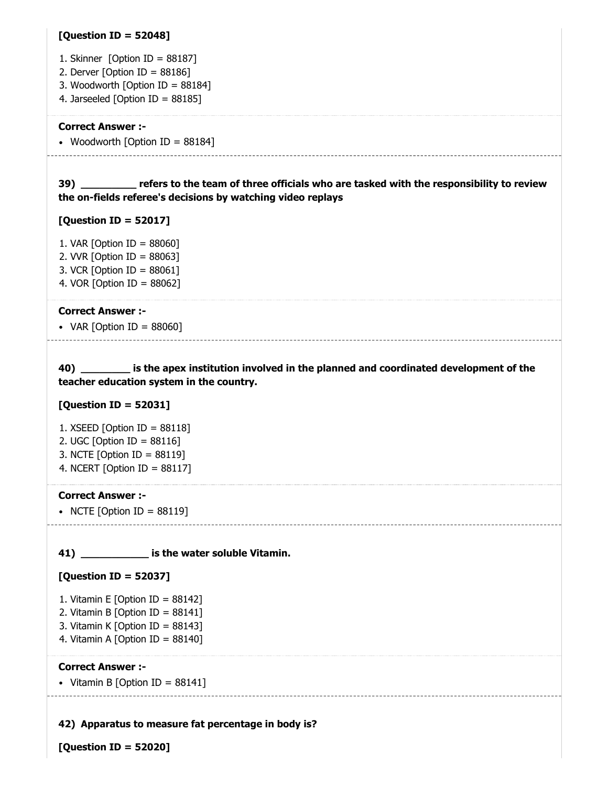### **[Question ID = 52048]**

- 1. Skinner [Option ID = 88187]
- 2. Derver [Option ID =  $88186$ ]
- 3. Woodworth [Option ID = 88184]
- 4. Jarseeled [Option ID = 88185]

#### **Correct Answer :-**

• Woodworth [Option ID = 88184]

**39) \_\_\_\_\_\_\_\_\_ refers to the team of three officials who are tasked with the responsibility to review the on-fields referee's decisions by watching video replays**

#### **[Question ID = 52017]**

-------------------------------

1. VAR [Option ID = 88060] 2. VVR [Option ID = 88063] 3. VCR [Option ID = 88061] 4. VOR [Option ID = 88062]

#### **Correct Answer :-**

• VAR  $[Option ID = 88060]$ 

**40) \_\_\_\_\_\_\_\_ is the apex institution involved in the planned and coordinated development of the teacher education system in the country.**

### **[Question ID = 52031]**

- 1. XSEED [Option ID = 88118]
- 2. UGC [Option ID = 88116]
- 3. NCTE [Option ID = 88119]
- 4. NCERT [Option ID = 88117]

#### **Correct Answer :-**

• NCTE [Option ID =  $88119$ ]

### **41) \_\_\_\_\_\_\_\_\_\_\_ is the water soluble Vitamin.**

### **[Question ID = 52037]**

- 1. Vitamin E [Option ID =  $88142$ ]
- 2. Vitamin B [Option ID =  $88141$ ]
- 3. Vitamin K [Option ID = 88143]
- 4. Vitamin A [Option ID = 88140]

#### **Correct Answer :-**

• Vitamin B [Option ID =  $88141$ ]

### **42) Apparatus to measure fat percentage in body is?**

**[Question ID = 52020]**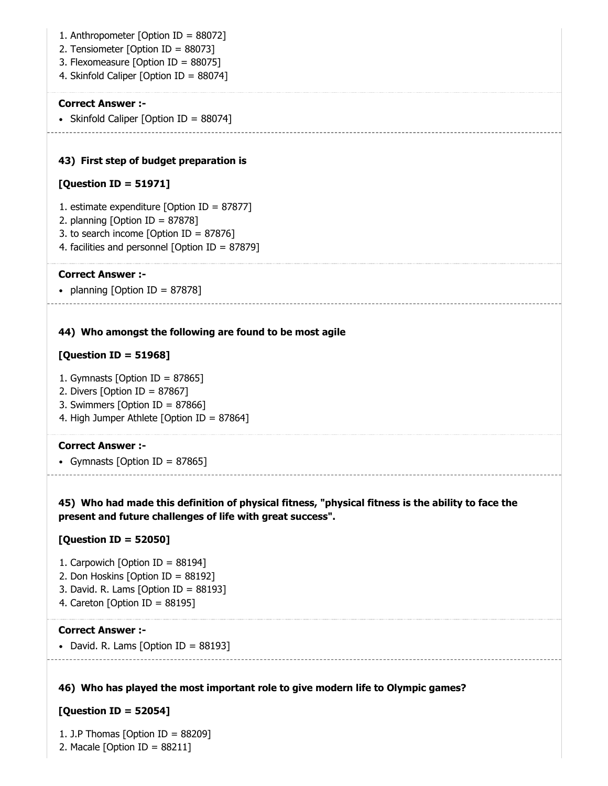**43) First step of budget preparation is 44) Who amongst the following are found to be most agile** 1. Anthropometer [Option ID = 88072] 2. Tensiometer [Option ID = 88073] 3. Flexomeasure [Option ID = 88075] 4. Skinfold Caliper [Option ID = 88074] **Correct Answer :-** • Skinfold Caliper [Option ID = 88074] **[Question ID = 51971]** 1. estimate expenditure [Option ID = 87877] 2. planning [Option ID = 87878] 3. to search income [Option ID = 87876] 4. facilities and personnel [Option ID = 87879] **Correct Answer :-** • planning  $[Option ID = 87878]$ 

### **[Question ID = 51968]**

- 1. Gymnasts [Option ID = 87865]
- 2. Divers [Option ID = 87867]
- 3. Swimmers [Option ID = 87866]
- 4. High Jumper Athlete [Option ID = 87864]

#### **Correct Answer :-**

• Gymnasts [Option ID = 87865]

**45) Who had made this definition of physical fitness, "physical fitness is the ability to face the present and future challenges of life with great success".**

### **[Question ID = 52050]**

- 1. Carpowich [Option ID =  $88194$ ]
- 2. Don Hoskins [Option ID = 88192]
- 3. David. R. Lams [Option ID = 88193]
- 4. Careton [Option ID =  $88195$ ]

### **Correct Answer :-**

• David. R. Lams  $[Option ID = 88193]$ 

### **46) Who has played the most important role to give modern life to Olympic games?**

### **[Question ID = 52054]**

1. J.P Thomas [Option ID = 88209] 2. Macale [Option ID = 88211]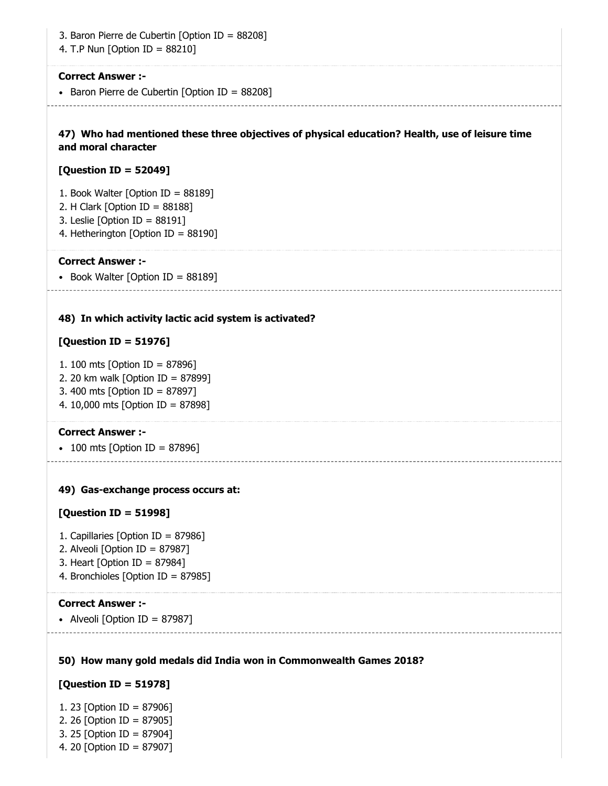3. Baron Pierre de Cubertin [Option ID = 88208]

4. T.P Nun [Option ID = 88210]

#### **Correct Answer :-**

• Baron Pierre de Cubertin [Option ID = 88208]

### **47) Who had mentioned these three objectives of physical education? Health, use of leisure time and moral character**

### **[Question ID = 52049]**

- 1. Book Walter [Option ID = 88189]
- 2. H Clark [Option ID = 88188]
- 3. Leslie [Option ID = 88191]
- 4. Hetherington [Option ID = 88190]

### **Correct Answer :-**

• Book Walter [Option ID =  $88189$ ]

#### **48) In which activity lactic acid system is activated?**

### **[Question ID = 51976]**

- 1. 100 mts [Option ID = 87896]
- 2. 20 km walk [Option ID = 87899]
- 3. 400 mts [Option ID = 87897]
- 4. 10,000 mts [Option ID = 87898]

### **Correct Answer :-**

• 100 mts [Option ID = 87896]

### **49) Gas-exchange process occurs at:**

### **[Question ID = 51998]**

- 1. Capillaries [Option ID = 87986]
- 2. Alveoli [Option ID = 87987]
- 3. Heart [Option ID = 87984]
- 4. Bronchioles [Option ID = 87985]

#### **Correct Answer :-**

• Alveoli [Option ID = 87987]

### **50) How many gold medals did India won in Commonwealth Games 2018?**

### **[Question ID = 51978]**

1. 23 [Option ID = 87906] 2. 26 [Option ID = 87905] 3. 25 [Option ID = 87904] 4. 20 [Option ID = 87907]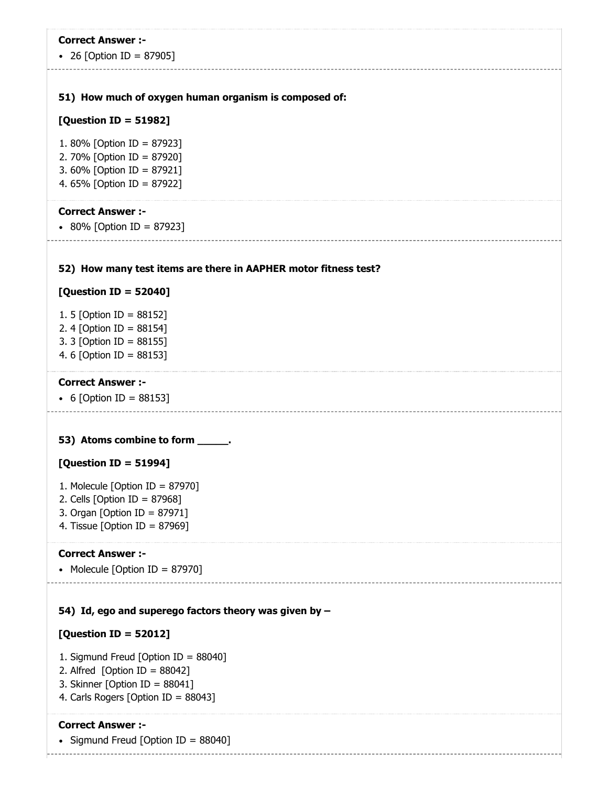| <b>Correct Answer :-</b>                                              |
|-----------------------------------------------------------------------|
| • 26 [Option ID = 87905]                                              |
| 51) How much of oxygen human organism is composed of:                 |
|                                                                       |
| [Question ID = 51982]                                                 |
| 1.80% [Option ID = 87923]<br>2. 70% [Option ID = 87920]               |
| 3. 60% [Option ID = 87921]                                            |
| 4. 65% [Option ID = 87922]                                            |
| <b>Correct Answer :-</b>                                              |
| • 80% [Option ID = 87923]                                             |
|                                                                       |
| 52) How many test items are there in AAPHER motor fitness test?       |
| [Question ID = 52040]                                                 |
| 1. 5 [Option ID = $88152$ ]                                           |
| 2. 4 [Option ID = 88154]<br>3. 3 [Option ID = 88155]                  |
| 4. 6 [Option ID = 88153]                                              |
| <b>Correct Answer :-</b>                                              |
| • 6 [Option ID = 88153]                                               |
|                                                                       |
| 53) Atoms combine to form _____.                                      |
| [Question ID = 51994]                                                 |
| 1. Molecule [Option ID = $87970$ ]                                    |
| 2. Cells [Option ID = $87968$ ]                                       |
| 3. Organ [Option ID = 87971]                                          |
|                                                                       |
| 4. Tissue [Option ID = $87969$ ]                                      |
| <b>Correct Answer :-</b>                                              |
| • Molecule [Option ID = 87970]                                        |
|                                                                       |
| 54) Id, ego and superego factors theory was given by $-$              |
| [Question ID = $52012$ ]                                              |
| 1. Sigmund Freud [Option ID = 88040]                                  |
| 2. Alfred [Option ID = $88042$ ]<br>3. Skinner [Option ID = $88041$ ] |
| 4. Carls Rogers [Option ID = 88043]                                   |

• Sigmund Freud [Option ID =  $88040$ ]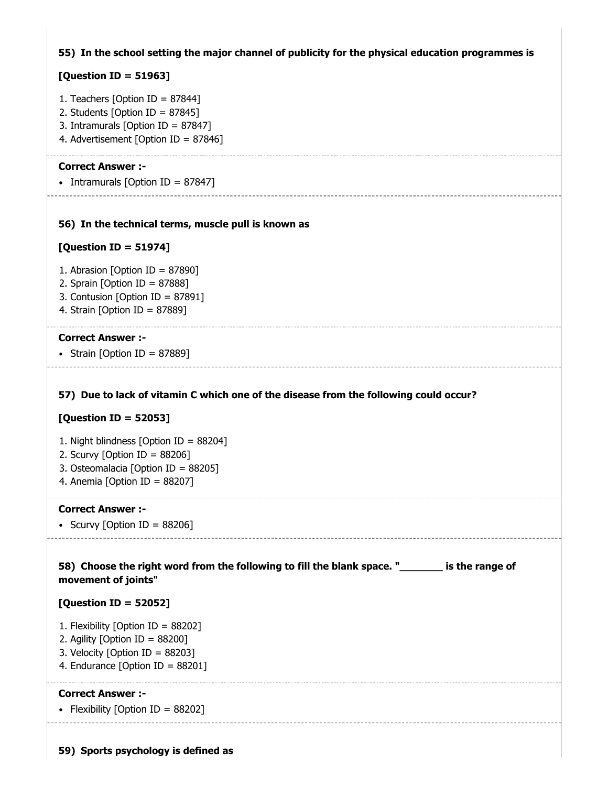### **55) In the school setting the major channel of publicity for the physical education programmes is**

### **[Question ID = 51963]**

- 1. Teachers [Option ID =  $87844$ ]
- 2. Students [Option ID = 87845]
- 3. Intramurals [Option ID = 87847]
- 4. Advertisement [Option ID = 87846]

#### **Correct Answer :-**

• Intramurals  $[Option ID = 87847]$ \_\_\_\_\_\_\_\_\_\_\_\_\_\_\_\_\_\_\_\_\_\_\_\_

### **56) In the technical terms, muscle pull is known as**

#### **[Question ID = 51974]**

- 1. Abrasion [Option ID = 87890]
- 2. Sprain [Option ID = 87888]
- 3. Contusion [Option ID = 87891]
- 4. Strain [Option ID = 87889]

#### **Correct Answer :-**

• Strain [Option ID = 87889]

### **57) Due to lack of vitamin C which one of the disease from the following could occur?**

### **[Question ID = 52053]**

- 1. Night blindness [Option ID = 88204]
- 2. Scurvy [Option ID =  $88206$ ]
- 3. Osteomalacia [Option ID = 88205]
- 4. Anemia [Option ID = 88207]

#### **Correct Answer :-**

• Scurvy [Option ID =  $88206$ ]

**58) Choose the right word from the following to fill the blank space. "\_\_\_\_\_\_\_ is the range of movement of joints"**

#### **[Question ID = 52052]**

- 1. Flexibility [Option ID = 88202]
- 2. Agility [Option ID = 88200]
- 3. Velocity [Option ID = 88203]
- 4. Endurance [Option ID = 88201]

#### **Correct Answer :-**

• Flexibility [Option ID =  $88202$ ]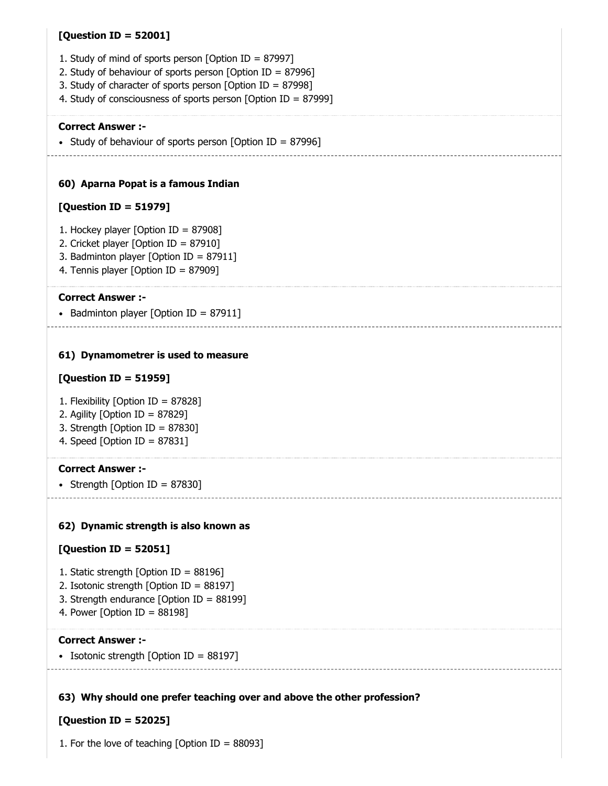### **[Question ID = 52001]**

- 1. Study of mind of sports person [Option ID = 87997]
- 2. Study of behaviour of sports person [Option ID = 87996]
- 3. Study of character of sports person [Option ID = 87998]
- 4. Study of consciousness of sports person [Option ID = 87999]

#### **Correct Answer :-**

• Study of behaviour of sports person [Option ID = 87996]

. . . . . . . . . . . . . . . . . .

### **60) Aparna Popat is a famous Indian**

### **[Question ID = 51979]**

- 1. Hockey player [Option ID = 87908]
- 2. Cricket player [Option ID = 87910]
- 3. Badminton player [Option ID = 87911]
- 4. Tennis player [Option ID = 87909]

#### **Correct Answer :-**

• Badminton player [Option ID = 87911]

### **61) Dynamometrer is used to measure**

### **[Question ID = 51959]**

- 1. Flexibility [Option ID = 87828]
- 2. Agility [Option ID = 87829]
- 3. Strength [Option ID = 87830]
- 4. Speed [Option ID = 87831]

### **Correct Answer :-**

• Strength [Option ID =  $87830$ ]

### **62) Dynamic strength is also known as**

### **[Question ID = 52051]**

- 1. Static strength [Option ID = 88196]
- 2. Isotonic strength [Option ID = 88197]
- 3. Strength endurance [Option ID = 88199]
- 4. Power [Option ID =  $88198$ ]

#### **Correct Answer :-**

• Isotonic strength  $[Option ID = 88197]$ 

### **63) Why should one prefer teaching over and above the other profession?**

### **[Question ID = 52025]**

1. For the love of teaching  $[Option ID = 88093]$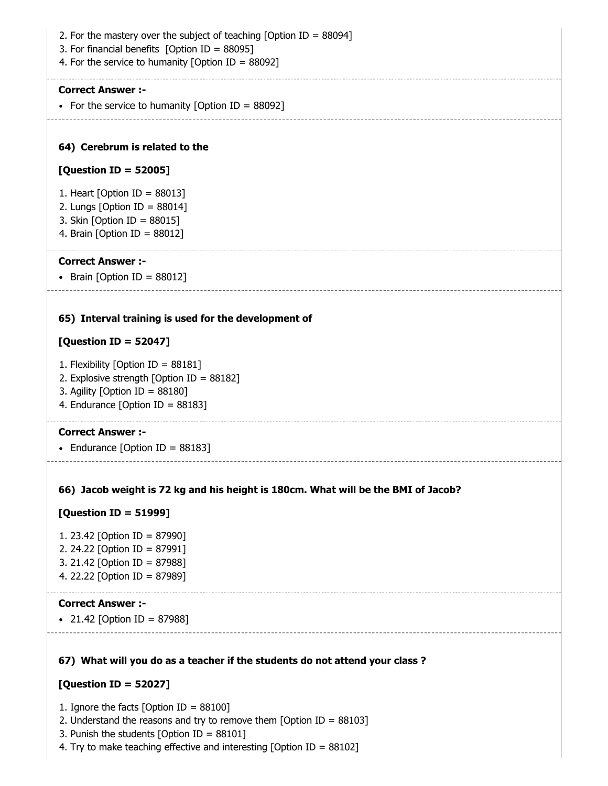- 2. For the mastery over the subject of teaching [Option ID =  $88094$ ]
- 3. For financial benefits [Option ID = 88095]
- 4. For the service to humanity [Option ID = 88092]

• For the service to humanity [Option ID =  $88092$ ]

### **64) Cerebrum is related to the**

#### **[Question ID = 52005]**

- 1. Heart [Option ID = 88013]
- 2. Lungs [Option ID = 88014]
- 3. Skin [Option ID = 88015]
- 4. Brain [Option ID = 88012]

#### **Correct Answer :-**

• Brain  $[Option ID = 88012]$ 

#### **65) Interval training is used for the development of**

### **[Question ID = 52047]**

- 1. Flexibility [Option ID = 88181]
- 2. Explosive strength [Option ID = 88182]
- 3. Agility [Option ID = 88180]
- 4. Endurance [Option ID = 88183]

### **Correct Answer :-**

• Endurance [Option ID =  $88183$ ]

## **66) Jacob weight is 72 kg and his height is 180cm. What will be the BMI of Jacob?**

### **[Question ID = 51999]**

1. 23.42 [Option ID = 87990] 2. 24.22 [Option ID = 87991] 3. 21.42 [Option ID = 87988] 4. 22.22 [Option ID = 87989]

#### **Correct Answer :-**

• 21.42 [Option ID = 87988]

### **67) What will you do as a teacher if the students do not attend your class ?**

### **[Question ID = 52027]**

- 1. Ignore the facts [Option ID = 88100]
- 2. Understand the reasons and try to remove them [Option ID = 88103]
- 3. Punish the students [Option ID = 88101]
- 4. Try to make teaching effective and interesting [Option ID = 88102]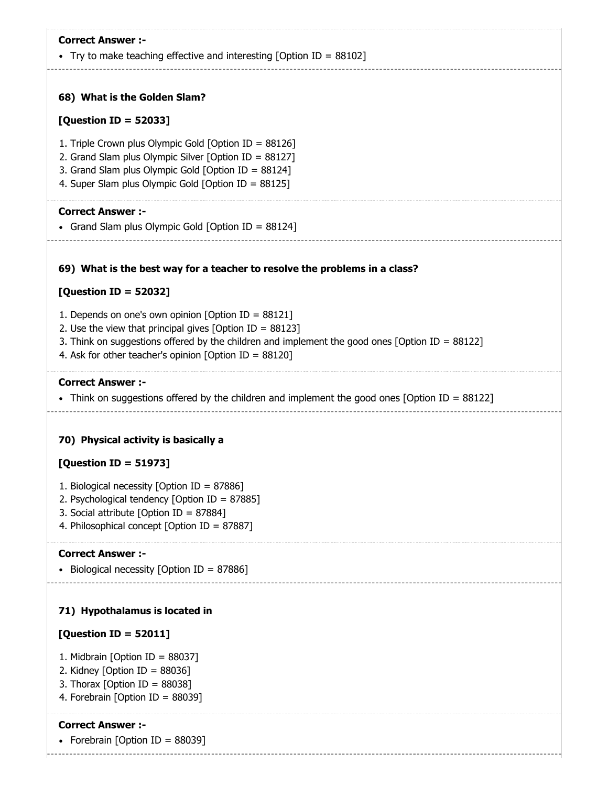| <b>Correct Answer :-</b><br>• Try to make teaching effective and interesting [Option ID = $88102$ ]                                                                                                                                                                                   |
|---------------------------------------------------------------------------------------------------------------------------------------------------------------------------------------------------------------------------------------------------------------------------------------|
| 68) What is the Golden Slam?                                                                                                                                                                                                                                                          |
| [Question ID = 52033]                                                                                                                                                                                                                                                                 |
| 1. Triple Crown plus Olympic Gold [Option ID = 88126]<br>2. Grand Slam plus Olympic Silver [Option ID = 88127]<br>3. Grand Slam plus Olympic Gold [Option ID = 88124]<br>4. Super Slam plus Olympic Gold [Option ID = 88125]                                                          |
| <b>Correct Answer :-</b><br>• Grand Slam plus Olympic Gold [Option ID = 88124]                                                                                                                                                                                                        |
| 69) What is the best way for a teacher to resolve the problems in a class?                                                                                                                                                                                                            |
| [Question ID = 52032]                                                                                                                                                                                                                                                                 |
| 1. Depends on one's own opinion [Option ID = $88121$ ]<br>2. Use the view that principal gives [Option ID = $88123$ ]<br>3. Think on suggestions offered by the children and implement the good ones [Option ID = 88122]<br>4. Ask for other teacher's opinion [Option ID = $88120$ ] |
| <b>Correct Answer :-</b><br>• Think on suggestions offered by the children and implement the good ones [Option ID = 88122]                                                                                                                                                            |
| 70) Physical activity is basically a                                                                                                                                                                                                                                                  |
| <b>[Question ID = 51973]</b>                                                                                                                                                                                                                                                          |
| 1. Biological necessity [Option ID = 87886]<br>2. Psychological tendency [Option ID = 87885]<br>3. Social attribute [Option ID = 87884]<br>4. Philosophical concept [Option ID = 87887]                                                                                               |
| <b>Correct Answer :-</b><br>Biological necessity [Option ID = $87886$ ]                                                                                                                                                                                                               |
| 71) Hypothalamus is located in                                                                                                                                                                                                                                                        |
| [Question ID = $52011$ ]                                                                                                                                                                                                                                                              |
| 1. Midbrain [Option ID = 88037]<br>2. Kidney [Option ID = $88036$ ]<br>3. Thorax [Option ID = $88038$ ]<br>4. Forebrain [Option ID = 88039]                                                                                                                                           |

• Forebrain [Option ID = 88039]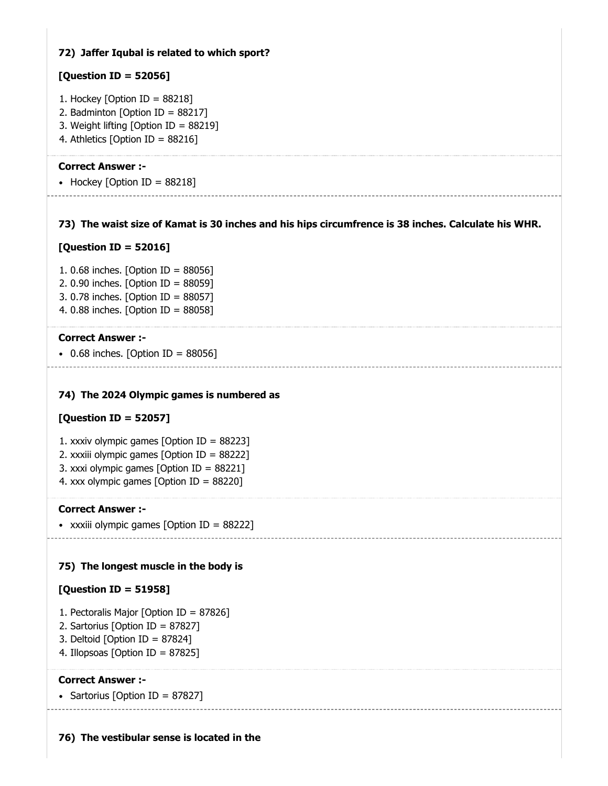### **72) Jaffer Iqubal is related to which sport?**

### **[Question ID = 52056]**

- 1. Hockey [Option ID =  $88218$ ]
- 2. Badminton [Option ID = 88217]
- 3. Weight lifting [Option ID = 88219]
- 4. Athletics [Option ID = 88216]

### **Correct Answer :-**

• Hockey [Option ID =  $88218$ ]

### **73) The waist size of Kamat is 30 inches and his hips circumfrence is 38 inches. Calculate his WHR.**

### **[Question ID = 52016]**

1. 0.68 inches. [Option ID = 88056] 2. 0.90 inches. [Option ID = 88059] 3. 0.78 inches. [Option ID = 88057] 4. 0.88 inches. [Option ID = 88058]

### **Correct Answer :-**

 $\bullet$  0.68 inches. [Option ID = 88056]

### **74) The 2024 Olympic games is numbered as**

### **[Question ID = 52057]**

- 1. xxxiv olympic games [Option ID = 88223]
- 2. xxxiii olympic games [Option ID = 88222]
- 3. xxxi olympic games [Option ID = 88221]
- 4. xxx olympic games [Option ID = 88220]

### **Correct Answer :-**

xxxiii olympic games [Option ID = 88222]

### **75) The longest muscle in the body is**

### **[Question ID = 51958]**

- 1. Pectoralis Major [Option ID = 87826]
- 2. Sartorius [Option ID = 87827]
- 3. Deltoid [Option ID = 87824]
- 4. Illopsoas [Option ID = 87825]

### **Correct Answer :-**

• Sartorius [Option ID = 87827]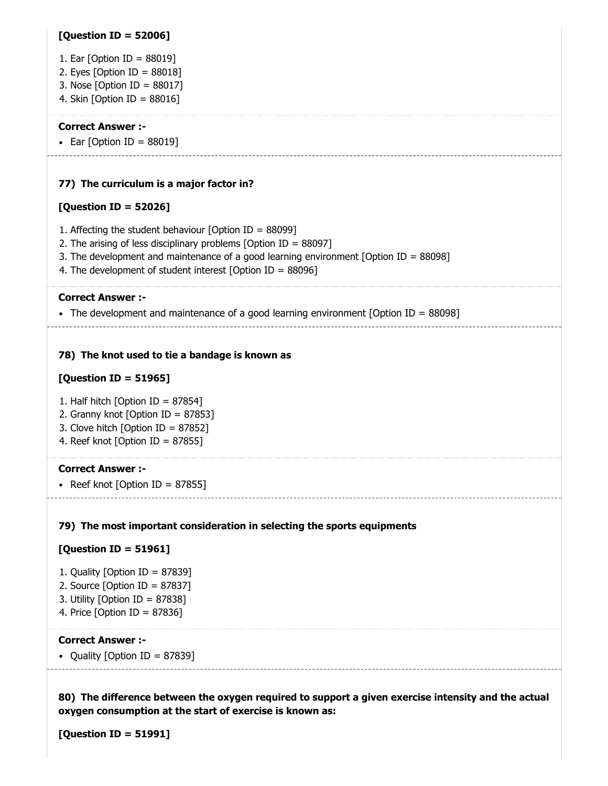### **[Question ID = 52006]**

- 1. Ear [Option ID = 88019]
- 2. Eyes  $[Option ID = 88018]$
- 3. Nose [Option ID = 88017]
- 4. Skin [Option ID = 88016]

#### **Correct Answer :-**

• Ear [Option ID =  $88019$ ]

### **77) The curriculum is a major factor in?**

### **[Question ID = 52026]**

- 1. Affecting the student behaviour [Option ID =  $88099$ ]
- 2. The arising of less disciplinary problems [Option ID = 88097]
- 3. The development and maintenance of a good learning environment [Option ID = 88098]
- 4. The development of student interest [Option ID = 88096]

#### **Correct Answer :-**

The development and maintenance of a good learning environment [Option ID =  $88098$ ]

### **78) The knot used to tie a bandage is known as**

### **[Question ID = 51965]**

- 1. Half hitch [Option ID = 87854]
- 2. Granny knot [Option ID = 87853]
- 3. Clove hitch [Option ID = 87852]
- 4. Reef knot [Option ID = 87855]

### **Correct Answer :-**

• Reef knot [Option ID = 87855]

### **79) The most important consideration in selecting the sports equipments**

### **[Question ID = 51961]**

- 1. Quality [Option ID = 87839]
- 2. Source  $[Option ID = 87837]$
- 3. Utility [Option ID = 87838]
- 4. Price [Option ID = 87836]

#### **Correct Answer :-**

• Quality [Option ID = 87839]

**80) The difference between the oxygen required to support a given exercise intensity and the actual oxygen consumption at the start of exercise is known as:**

**[Question ID = 51991]**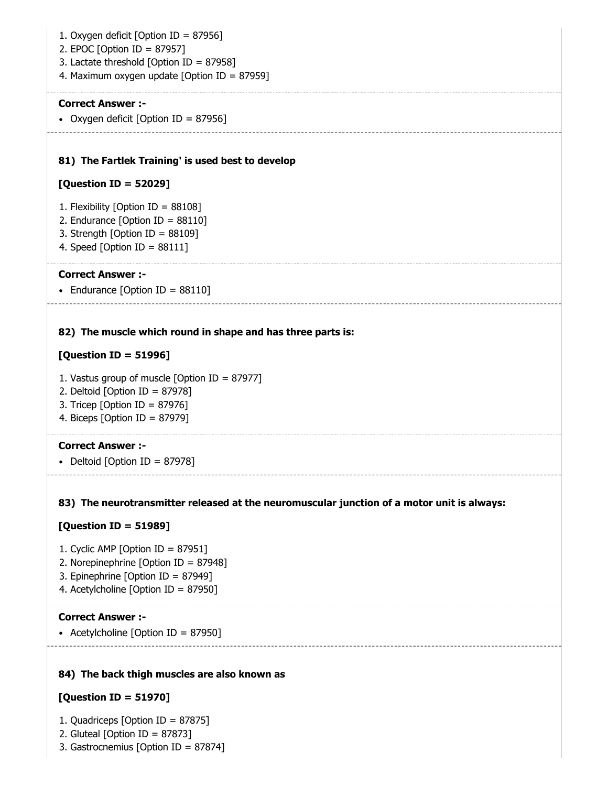- 1. Oxygen deficit [Option ID = 87956]
- 2. EPOC [Option ID = 87957]
- 3. Lactate threshold [Option ID = 87958]
- 4. Maximum oxygen update [Option ID = 87959]

• Oxygen deficit [Option ID = 87956]

### **81) The Fartlek Training' is used best to develop**

### **[Question ID = 52029]**

- 1. Flexibility [Option ID = 88108]
- 2. Endurance [Option ID = 88110]
- 3. Strength [Option ID = 88109]
- 4. Speed [Option ID = 88111]

### **Correct Answer :-**

• Endurance  $[Option ID = 88110]$ 

### **82) The muscle which round in shape and has three parts is:**

### **[Question ID = 51996]**

- 1. Vastus group of muscle [Option ID = 87977]
- 2. Deltoid [Option ID = 87978]
- 3. Tricep [Option ID = 87976]
- 4. Biceps [Option ID = 87979]

### **Correct Answer :-**

• Deltoid [Option ID = 87978]

### **83) The neurotransmitter released at the neuromuscular junction of a motor unit is always:**

### **[Question ID = 51989]**

- 1. Cyclic AMP [Option ID = 87951]
- 2. Norepinephrine [Option ID = 87948]
- 3. Epinephrine [Option ID = 87949]
- 4. Acetylcholine [Option ID = 87950]

### **Correct Answer :-**

• Acetylcholine [Option ID = 87950]

### **84) The back thigh muscles are also known as**

### **[Question ID = 51970]**

- 1. Quadriceps [Option ID = 87875]
- 2. Gluteal [Option ID = 87873]
- 3. Gastrocnemius [Option ID = 87874]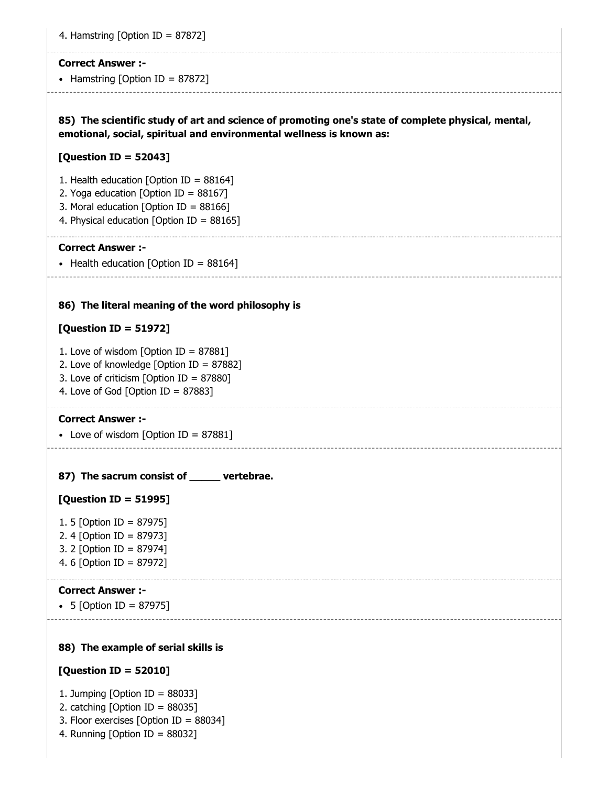|  | 4. Hamstring [Option ID = 87872] |  |  |  |
|--|----------------------------------|--|--|--|
|--|----------------------------------|--|--|--|

• Hamstring [Option ID =  $87872$ ]

**85) The scientific study of art and science of promoting one's state of complete physical, mental, emotional, social, spiritual and environmental wellness is known as:**

#### **[Question ID = 52043]**

- 1. Health education [Option ID = 88164]
- 2. Yoga education [Option ID = 88167]
- 3. Moral education [Option ID = 88166]
- 4. Physical education [Option ID = 88165]

#### **Correct Answer :-**

• Health education [Option ID =  $88164$ ]

#### **86) The literal meaning of the word philosophy is**

#### **[Question ID = 51972]**

- 1. Love of wisdom [Option ID = 87881]
- 2. Love of knowledge [Option ID = 87882]
- 3. Love of criticism [Option ID = 87880]
- 4. Love of God [Option ID =  $87883$ ]

#### **Correct Answer :-**

- Love of wisdom [Option ID = 87881]
- **87) The sacrum consist of \_\_\_\_\_ vertebrae.**

#### **[Question ID = 51995]**

- 1. 5 [Option ID = 87975]
- 2. 4 [Option ID = 87973]
- 3. 2 [Option ID = 87974]
- 4. 6 [Option ID = 87972]

### **Correct Answer :-**

5 [Option ID = 87975]

## **88) The example of serial skills is**

#### **[Question ID = 52010]**

- 1. Jumping [Option ID = 88033]
- 2. catching [Option ID = 88035]
- 3. Floor exercises [Option ID = 88034]
- 4. Running [Option ID = 88032]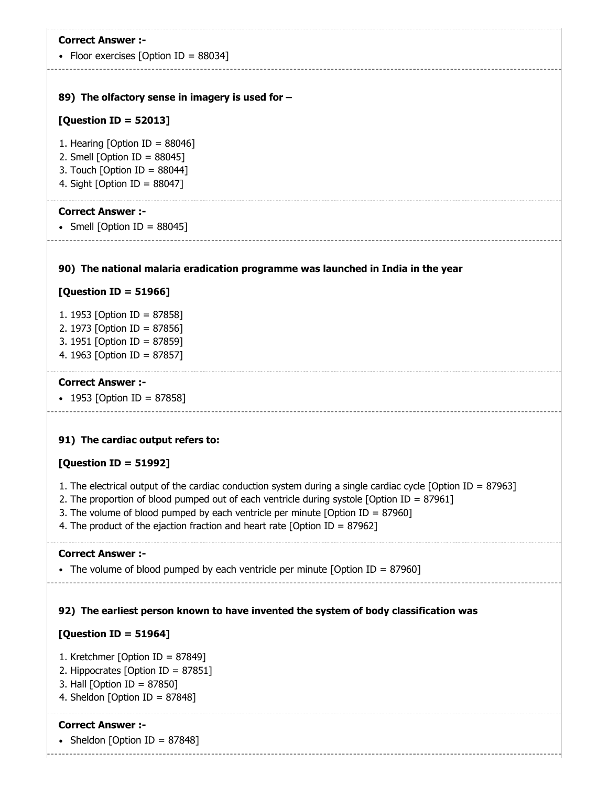| <b>Correct Answer :-</b><br>• Floor exercises [Option ID = $88034$ ]                                                                                                                                                                                                                                                                                                         |
|------------------------------------------------------------------------------------------------------------------------------------------------------------------------------------------------------------------------------------------------------------------------------------------------------------------------------------------------------------------------------|
| 89) The olfactory sense in imagery is used for -                                                                                                                                                                                                                                                                                                                             |
| [Question ID = $52013$ ]                                                                                                                                                                                                                                                                                                                                                     |
| 1. Hearing [Option ID = $88046$ ]<br>2. Smell [Option ID = $88045$ ]<br>3. Touch [Option ID = $88044$ ]<br>4. Sight [Option ID = $88047$ ]                                                                                                                                                                                                                                   |
| <b>Correct Answer:-</b><br>• Smell [Option ID = $88045$ ]                                                                                                                                                                                                                                                                                                                    |
| 90) The national malaria eradication programme was launched in India in the year                                                                                                                                                                                                                                                                                             |
| [Question ID = $51966$ ]                                                                                                                                                                                                                                                                                                                                                     |
| 1. 1953 [Option ID = 87858]<br>2. 1973 [Option ID = 87856]<br>3. 1951 [Option ID = 87859]<br>4. 1963 [Option ID = 87857]                                                                                                                                                                                                                                                     |
| <b>Correct Answer :-</b><br>• 1953 [Option ID = 87858]                                                                                                                                                                                                                                                                                                                       |
| 91) The cardiac output refers to:                                                                                                                                                                                                                                                                                                                                            |
| [Question ID = 51992]                                                                                                                                                                                                                                                                                                                                                        |
| 1. The electrical output of the cardiac conduction system during a single cardiac cycle [Option ID = 87963]<br>2. The proportion of blood pumped out of each ventricle during systole [Option ID = 87961]<br>3. The volume of blood pumped by each ventricle per minute [Option ID = 87960]<br>4. The product of the ejaction fraction and heart rate [Option ID = $87962$ ] |
| <b>Correct Answer:-</b><br>• The volume of blood pumped by each ventricle per minute [Option ID = 87960]                                                                                                                                                                                                                                                                     |
| 92) The earliest person known to have invented the system of body classification was                                                                                                                                                                                                                                                                                         |
| [Question ID = 51964]                                                                                                                                                                                                                                                                                                                                                        |
| 1. Kretchmer [Option ID = $87849$ ]                                                                                                                                                                                                                                                                                                                                          |
| 2. Hippocrates [Option ID = 87851]<br>3. Hall [Option ID = 87850]                                                                                                                                                                                                                                                                                                            |
| 4. Sheldon [Option ID = 87848]                                                                                                                                                                                                                                                                                                                                               |
| <b>Correct Answer :-</b>                                                                                                                                                                                                                                                                                                                                                     |
| • Sheldon [Option ID = 87848]                                                                                                                                                                                                                                                                                                                                                |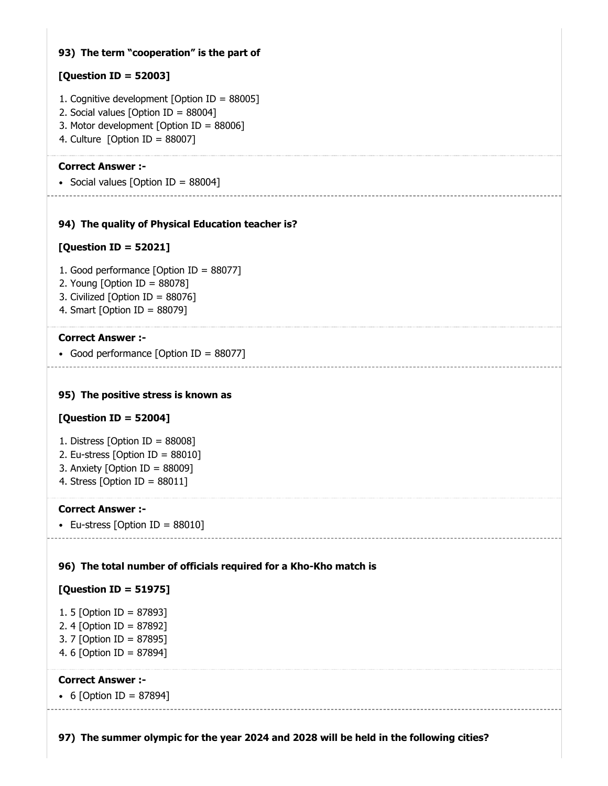### **93) The term "cooperation" is the part of**

### **[Question ID = 52003]**

- 1. Cognitive development [Option ID = 88005]
- 2. Social values [Option ID = 88004]
- 3. Motor development [Option ID = 88006]
- 4. Culture [Option ID = 88007]

### **Correct Answer :-**

• Social values [Option ID =  $88004$ ] --------------

### **94) The quality of Physical Education teacher is?**

### **[Question ID = 52021]**

- 1. Good performance [Option ID = 88077]
- 2. Young [Option ID = 88078]
- 3. Civilized [Option ID = 88076]
- 4. Smart [Option ID = 88079]

### **Correct Answer :-**

• Good performance [Option ID = 88077]

### **95) The positive stress is known as**

### **[Question ID = 52004]**

- 1. Distress [Option ID = 88008]
- 2. Eu-stress [Option ID =  $88010$ ]
- 3. Anxiety [Option ID = 88009]
- 4. Stress [Option ID = 88011]

### **Correct Answer :-**

• Eu-stress [Option ID =  $88010$ ]

### **96) The total number of officials required for a Kho-Kho match is**

### **[Question ID = 51975]**

```
1. 5 [Option ID = 87893]
2. 4 [Option ID = 87892]
3. 7 [Option ID = 87895]
4. 6 [Option ID = 87894]
```
### **Correct Answer :-**

• 6 [Option ID = 87894]

**97) The summer olympic for the year 2024 and 2028 will be held in the following cities?**